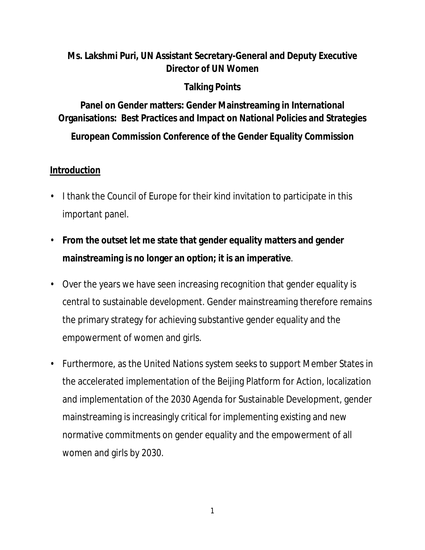## **Ms. Lakshmi Puri, UN Assistant Secretary-General and Deputy Executive Director of UN Women**

## **Talking Points**

**Panel on Gender matters: Gender Mainstreaming in International Organisations: Best Practices and Impact on National Policies and Strategies**

**European Commission Conference of the Gender Equality Commission**

#### **Introduction**

- I thank the Council of Europe for their kind invitation to participate in this important panel.
- **From the outset let me state that gender equality matters and gender mainstreaming is no longer an option; it is an imperative**.
- Over the years we have seen increasing recognition that gender equality is central to sustainable development. Gender mainstreaming therefore remains the primary strategy for achieving substantive gender equality and the empowerment of women and girls.
- Furthermore, as the United Nations system seeks to support Member States in the accelerated implementation of the Beijing Platform for Action, localization and implementation of the 2030 Agenda for Sustainable Development, gender mainstreaming is increasingly critical for implementing existing and new normative commitments on gender equality and the empowerment of all women and girls by 2030.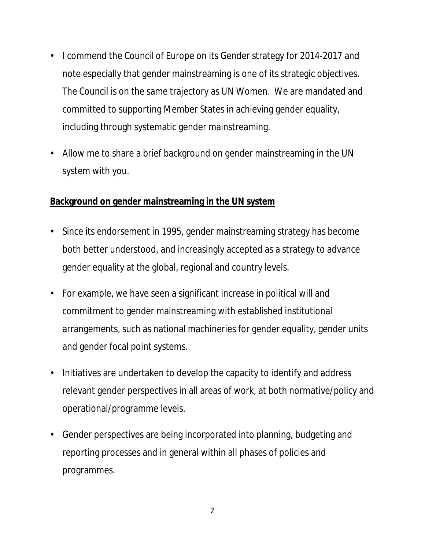- I commend the Council of Europe on its Gender strategy for 2014-2017 and note especially that gender mainstreaming is one of its strategic objectives. The Council is on the same trajectory as UN Women. We are mandated and committed to supporting Member States in achieving gender equality, including through systematic gender mainstreaming.
- Allow me to share a brief background on gender mainstreaming in the UN system with you.

#### **Background on gender mainstreaming in the UN system**

- Since its endorsement in 1995, gender mainstreaming strategy has become both better understood, and increasingly accepted as a strategy to advance gender equality at the global, regional and country levels.
- For example, we have seen a significant increase in political will and commitment to gender mainstreaming with established institutional arrangements, such as national machineries for gender equality, gender units and gender focal point systems.
- Initiatives are undertaken to develop the capacity to identify and address relevant gender perspectives in all areas of work, at both normative/policy and operational/programme levels.
- Gender perspectives are being incorporated into planning, budgeting and reporting processes and in general within all phases of policies and programmes.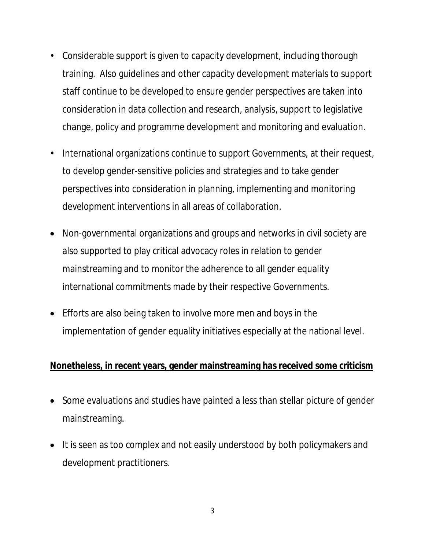- Considerable support is given to capacity development, including thorough training. Also guidelines and other capacity development materials to support staff continue to be developed to ensure gender perspectives are taken into consideration in data collection and research, analysis, support to legislative change, policy and programme development and monitoring and evaluation.
- International organizations continue to support Governments, at their request, to develop gender-sensitive policies and strategies and to take gender perspectives into consideration in planning, implementing and monitoring development interventions in all areas of collaboration.
- Non-governmental organizations and groups and networks in civil society are also supported to play critical advocacy roles in relation to gender mainstreaming and to monitor the adherence to all gender equality international commitments made by their respective Governments.
- Efforts are also being taken to involve more men and boys in the implementation of gender equality initiatives especially at the national level.

#### **Nonetheless, in recent years, gender mainstreaming has received some criticism**

- Some evaluations and studies have painted a less than stellar picture of gender mainstreaming.
- It is seen as too complex and not easily understood by both policymakers and development practitioners.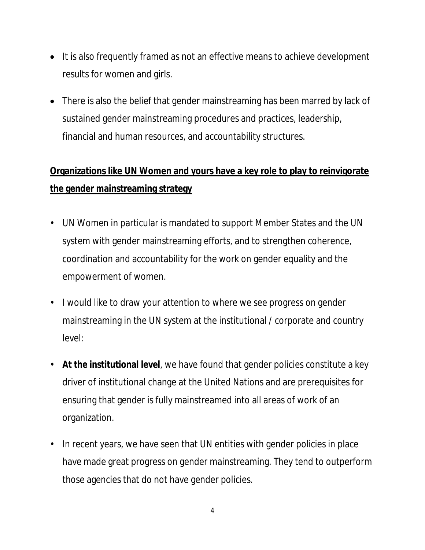- It is also frequently framed as not an effective means to achieve development results for women and girls.
- There is also the belief that gender mainstreaming has been marred by lack of sustained gender mainstreaming procedures and practices, leadership, financial and human resources, and accountability structures.

# **Organizations like UN Women and yours have a key role to play to reinvigorate the gender mainstreaming strategy**

- UN Women in particular is mandated to support Member States and the UN system with gender mainstreaming efforts, and to strengthen coherence, coordination and accountability for the work on gender equality and the empowerment of women.
- I would like to draw your attention to where we see progress on gender mainstreaming in the UN system at the institutional / corporate and country level:
- **At the institutional level**, we have found that gender policies constitute a key driver of institutional change at the United Nations and are prerequisites for ensuring that gender is fully mainstreamed into all areas of work of an organization.
- In recent years, we have seen that UN entities with gender policies in place have made great progress on gender mainstreaming. They tend to outperform those agencies that do not have gender policies.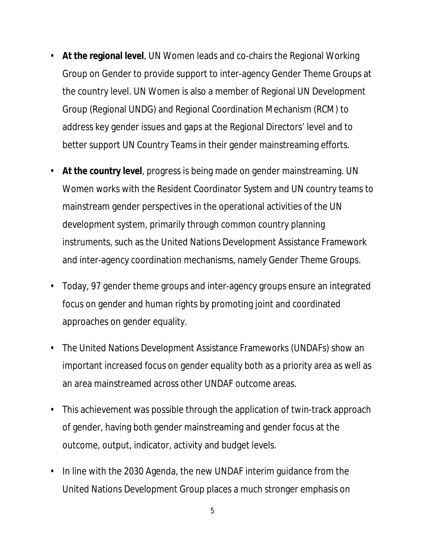- **At the regional level**, UN Women leads and co-chairs the Regional Working Group on Gender to provide support to inter-agency Gender Theme Groups at the country level. UN Women is also a member of Regional UN Development Group (Regional UNDG) and Regional Coordination Mechanism (RCM) to address key gender issues and gaps at the Regional Directors' level and to better support UN Country Teams in their gender mainstreaming efforts.
- **At the country level**, progress is being made on gender mainstreaming. UN Women works with the Resident Coordinator System and UN country teams to mainstream gender perspectives in the operational activities of the UN development system, primarily through common country planning instruments, such as the United Nations Development Assistance Framework and inter-agency coordination mechanisms, namely Gender Theme Groups.
- Today, 97 gender theme groups and inter-agency groups ensure an integrated focus on gender and human rights by promoting joint and coordinated approaches on gender equality.
- The United Nations Development Assistance Frameworks (UNDAFs) show an important increased focus on gender equality both as a priority area as well as an area mainstreamed across other UNDAF outcome areas.
- This achievement was possible through the application of twin-track approach of gender, having both gender mainstreaming and gender focus at the outcome, output, indicator, activity and budget levels.
- In line with the 2030 Agenda, the new UNDAF interim guidance from the United Nations Development Group places a much stronger emphasis on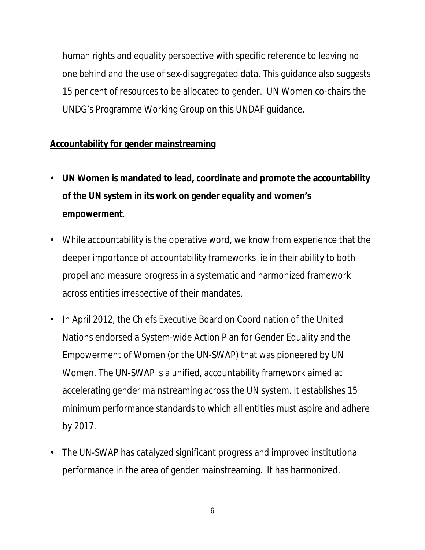human rights and equality perspective with specific reference to *leaving no one behind* and the use of sex-disaggregated data. This guidance also suggests 15 per cent of resources to be allocated to gender. UN Women co-chairs the UNDG's Programme Working Group on this UNDAF guidance.

#### **Accountability for gender mainstreaming**

- **UN Women is mandated to lead, coordinate and promote the accountability of the UN system in its work on gender equality and women's empowerment**.
- While accountability is the operative word, we know from experience that the deeper importance of accountability frameworks lie in their ability to both propel and measure progress in a systematic and harmonized framework across entities irrespective of their mandates.
- In April 2012, the Chiefs Executive Board on Coordination of the United Nations endorsed a System-wide Action Plan for Gender Equality and the Empowerment of Women (or the UN-SWAP) that was pioneered by UN Women. The UN-SWAP is a unified, accountability framework aimed at accelerating gender mainstreaming across the UN system. It establishes 15 minimum performance standards to which all entities must aspire and adhere by 2017.
- The UN-SWAP has catalyzed significant progress and improved institutional performance in the area of gender mainstreaming. It has harmonized,

6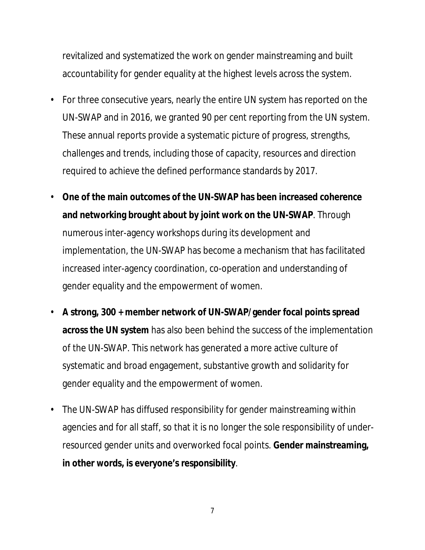revitalized and systematized the work on gender mainstreaming and built accountability for gender equality at the highest levels across the system.

- For three consecutive years, nearly the entire UN system has reported on the UN-SWAP and in 2016, we granted 90 per cent reporting from the UN system. These annual reports provide a systematic picture of progress, strengths, challenges and trends, including those of capacity, resources and direction required to achieve the defined performance standards by 2017.
- **One of the main outcomes of the UN-SWAP has been increased coherence and networking brought about by joint work on the UN-SWAP**. Through numerous inter-agency workshops during its development and implementation, the UN-SWAP has become a mechanism that has facilitated increased inter-agency coordination, co-operation and understanding of gender equality and the empowerment of women.
- **A strong, 300 + member network of UN-SWAP/gender focal points spread across the UN system** has also been behind the success of the implementation of the UN-SWAP. This network has generated a more active culture of systematic and broad engagement, substantive growth and solidarity for gender equality and the empowerment of women.
- The UN-SWAP has diffused responsibility for gender mainstreaming within agencies and for all staff, so that it is no longer the sole responsibility of underresourced gender units and overworked focal points. **Gender mainstreaming, in other words, is everyone's responsibility**.

7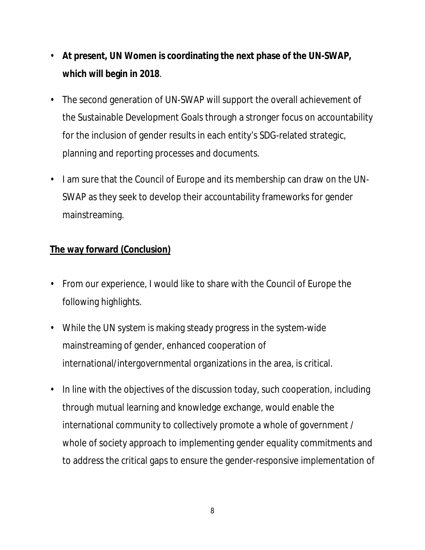- **At present, UN Women is coordinating the next phase of the UN-SWAP, which will begin in 2018**.
- The second generation of UN-SWAP will support the overall achievement of the Sustainable Development Goals through a stronger focus on accountability for the inclusion of gender results in each entity's SDG-related strategic, planning and reporting processes and documents.
- I am sure that the Council of Europe and its membership can draw on the UN-SWAP as they seek to develop their accountability frameworks for gender mainstreaming.

# **The way forward (Conclusion)**

- From our experience, I would like to share with the Council of Europe the following highlights.
- While the UN system is making steady progress in the system-wide mainstreaming of gender, enhanced cooperation of international/intergovernmental organizations in the area, is critical.
- In line with the objectives of the discussion today, such cooperation, including through mutual learning and knowledge exchange, would enable the international community to collectively promote a whole of government / whole of society approach to implementing gender equality commitments and to address the critical gaps to ensure the gender-responsive implementation of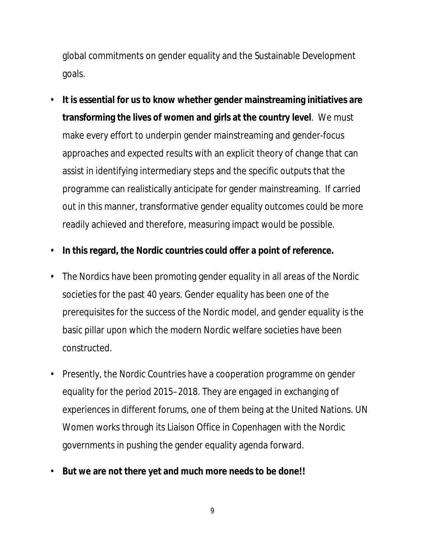global commitments on gender equality and the Sustainable Development goals.

- **It is essential for us to know whether gender mainstreaming initiatives are transforming the lives of women and girls at the country level**. We must make every effort to underpin gender mainstreaming and gender-focus approaches and expected results with an explicit theory of change that can assist in identifying intermediary steps and the specific outputs that the programme can realistically anticipate for gender mainstreaming. If carried out in this manner, transformative gender equality outcomes could be more readily achieved and therefore, measuring impact would be possible.
- **In this regard, the Nordic countries could offer a point of reference.**
- The Nordics have been promoting gender equality in all areas of the Nordic societies for the past 40 years. Gender equality has been one of the prerequisites for the success of the Nordic model, and gender equality is the basic pillar upon which the modern Nordic welfare societies have been constructed.
- Presently, the Nordic Countries have a cooperation programme on gender equality for the period 2015–2018. They are engaged in exchanging of experiences in different forums, one of them being at the United Nations. UN Women works through its Liaison Office in Copenhagen with the Nordic governments in pushing the gender equality agenda forward.
- **But we are not there yet and much more needs to be done!!**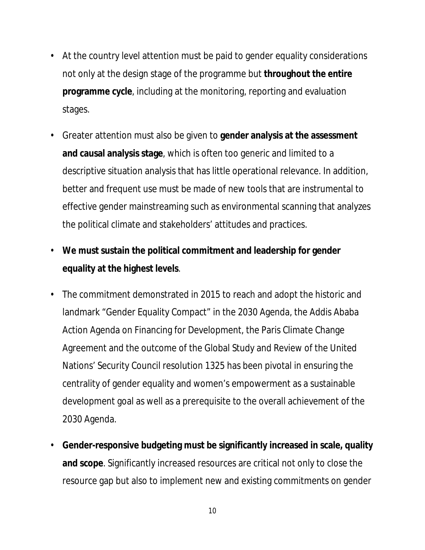- At the country level attention must be paid to gender equality considerations not only at the design stage of the programme but **throughout the entire programme cycle**, including at the monitoring, reporting and evaluation stages.
- Greater attention must also be given to **gender analysis at the assessment and causal analysis stage**, which is often too generic and limited to a descriptive situation analysis that has little operational relevance. In addition, better and frequent use must be made of new tools that are instrumental to effective gender mainstreaming such as environmental scanning that analyzes the political climate and stakeholders' attitudes and practices.
- **We must sustain the political commitment and leadership for gender equality at the highest levels**.
- The commitment demonstrated in 2015 to reach and adopt the historic and landmark "Gender Equality Compact" in the 2030 Agenda, the Addis Ababa Action Agenda on Financing for Development, the Paris Climate Change Agreement and the outcome of the Global Study and Review of the United Nations' Security Council resolution 1325 has been pivotal in ensuring the centrality of gender equality and women's empowerment as a sustainable development goal as well as a prerequisite to the overall achievement of the 2030 Agenda.
- **Gender-responsive budgeting must be significantly increased in scale, quality and scope**. Significantly increased resources are critical not only to close the resource gap but also to implement new and existing commitments on gender